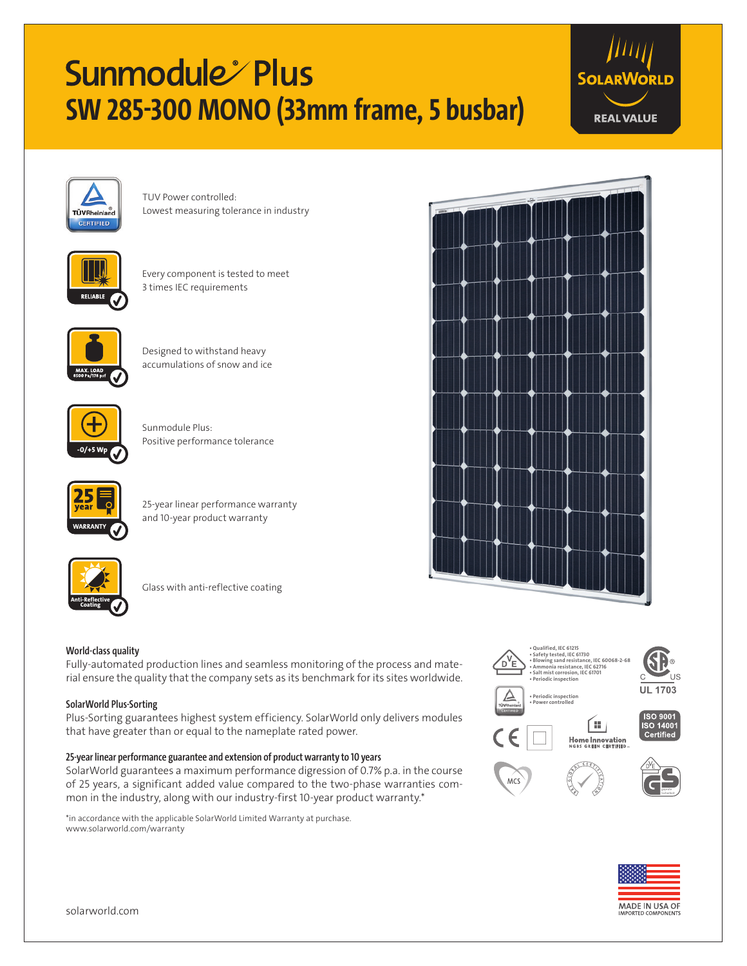# Sunmodule Plus **SW 285-300 MONO (33mm frame, 5 busbar)**





TUV Power controlled: Lowest measuring tolerance in industry



Every component is tested to meet 3 times IEC requirements



Designed to withstand heavy accumulations of snow and ice



Sunmodule Plus: Positive performance tolerance



25-year linear performance warranty and 10-year product warranty



Glass with anti-reflective coating

## **World-class quality**

Fully-automated production lines and seamless monitoring of the process and material ensure the quality that the company sets as its benchmark for its sites worldwide.

### **SolarWorld Plus-Sorting**

Plus-Sorting guarantees highest system efficiency. SolarWorld only delivers modules that have greater than or equal to the nameplate rated power.

## **25-year linear performance guarantee and extension of product warranty to 10 years**

SolarWorld guarantees a maximum performance digression of 0.7% p.a. in the course of 25 years, a significant added value compared to the two-phase warranties common in the industry, along with our industry-first 10-year product warranty.\*

\*in accordance with the applicable SolarWorld Limited Warranty at purchase. www.solarworld.com/warranty







geprüte Sicherheit





solarworld.com